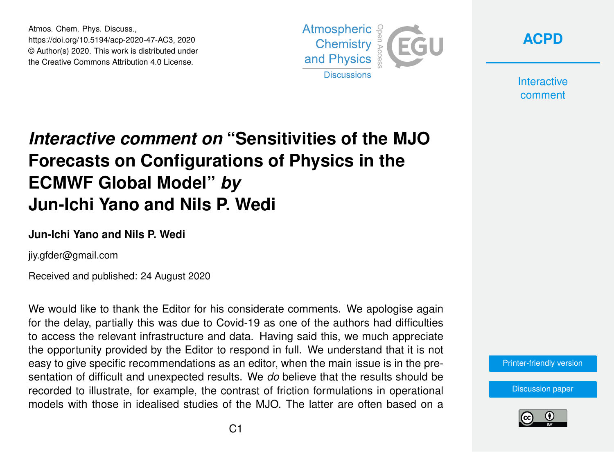Atmos. Chem. Phys. Discuss., https://doi.org/10.5194/acp-2020-47-AC3, 2020 © Author(s) 2020. This work is distributed under the Creative Commons Attribution 4.0 License.



**[ACPD](https://acp.copernicus.org/preprints/)**

**Interactive** comment

# *Interactive comment on* **"Sensitivities of the MJO Forecasts on Configurations of Physics in the ECMWF Global Model"** *by* **Jun-Ichi Yano and Nils P. Wedi**

#### **Jun-Ichi Yano and Nils P. Wedi**

jiy.gfder@gmail.com

Received and published: 24 August 2020

We would like to thank the Editor for his considerate comments. We apologise again for the delay, partially this was due to Covid-19 as one of the authors had difficulties to access the relevant infrastructure and data. Having said this, we much appreciate the opportunity provided by the Editor to respond in full. We understand that it is not easy to give specific recommendations as an editor, when the main issue is in the presentation of difficult and unexpected results. We *do* believe that the results should be recorded to illustrate, for example, the contrast of friction formulations in operational models with those in idealised studies of the MJO. The latter are often based on a

[Printer-friendly version](https://acp.copernicus.org/preprints/acp-2020-47/acp-2020-47-AC3-print.pdf)

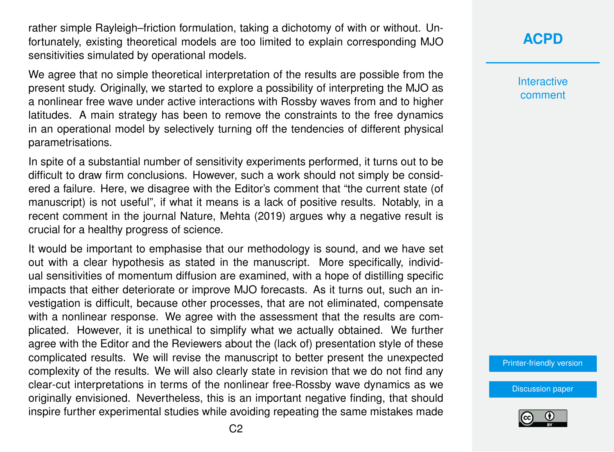rather simple Rayleigh–friction formulation, taking a dichotomy of with or without. Unfortunately, existing theoretical models are too limited to explain corresponding MJO sensitivities simulated by operational models.

We agree that no simple theoretical interpretation of the results are possible from the present study. Originally, we started to explore a possibility of interpreting the MJO as a nonlinear free wave under active interactions with Rossby waves from and to higher latitudes. A main strategy has been to remove the constraints to the free dynamics in an operational model by selectively turning off the tendencies of different physical parametrisations.

In spite of a substantial number of sensitivity experiments performed, it turns out to be difficult to draw firm conclusions. However, such a work should not simply be considered a failure. Here, we disagree with the Editor's comment that "the current state (of manuscript) is not useful", if what it means is a lack of positive results. Notably, in a recent comment in the journal Nature, Mehta (2019) argues why a negative result is crucial for a healthy progress of science.

It would be important to emphasise that our methodology is sound, and we have set out with a clear hypothesis as stated in the manuscript. More specifically, individual sensitivities of momentum diffusion are examined, with a hope of distilling specific impacts that either deteriorate or improve MJO forecasts. As it turns out, such an investigation is difficult, because other processes, that are not eliminated, compensate with a nonlinear response. We agree with the assessment that the results are complicated. However, it is unethical to simplify what we actually obtained. We further agree with the Editor and the Reviewers about the (lack of) presentation style of these complicated results. We will revise the manuscript to better present the unexpected complexity of the results. We will also clearly state in revision that we do not find any clear-cut interpretations in terms of the nonlinear free-Rossby wave dynamics as we originally envisioned. Nevertheless, this is an important negative finding, that should inspire further experimental studies while avoiding repeating the same mistakes made

#### **[ACPD](https://acp.copernicus.org/preprints/)**

**Interactive** comment

[Printer-friendly version](https://acp.copernicus.org/preprints/acp-2020-47/acp-2020-47-AC3-print.pdf)

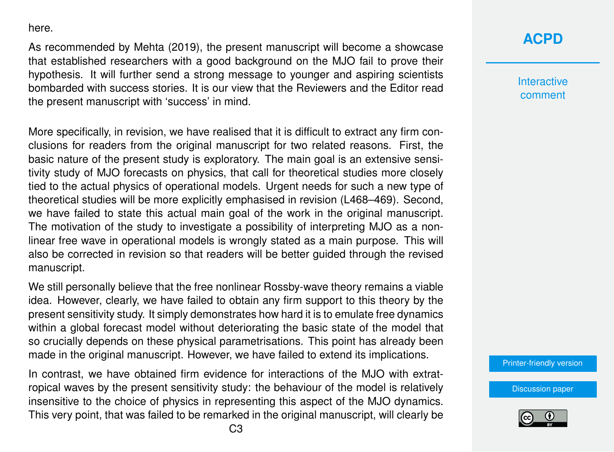here.

As recommended by Mehta (2019), the present manuscript will become a showcase that established researchers with a good background on the MJO fail to prove their hypothesis. It will further send a strong message to younger and aspiring scientists bombarded with success stories. It is our view that the Reviewers and the Editor read the present manuscript with 'success' in mind.

More specifically, in revision, we have realised that it is difficult to extract any firm conclusions for readers from the original manuscript for two related reasons. First, the basic nature of the present study is exploratory. The main goal is an extensive sensitivity study of MJO forecasts on physics, that call for theoretical studies more closely tied to the actual physics of operational models. Urgent needs for such a new type of theoretical studies will be more explicitly emphasised in revision (L468–469). Second, we have failed to state this actual main goal of the work in the original manuscript. The motivation of the study to investigate a possibility of interpreting MJO as a nonlinear free wave in operational models is wrongly stated as a main purpose. This will also be corrected in revision so that readers will be better guided through the revised manuscript.

We still personally believe that the free nonlinear Rossby-wave theory remains a viable idea. However, clearly, we have failed to obtain any firm support to this theory by the present sensitivity study. It simply demonstrates how hard it is to emulate free dynamics within a global forecast model without deteriorating the basic state of the model that so crucially depends on these physical parametrisations. This point has already been made in the original manuscript. However, we have failed to extend its implications.

In contrast, we have obtained firm evidence for interactions of the MJO with extratropical waves by the present sensitivity study: the behaviour of the model is relatively insensitive to the choice of physics in representing this aspect of the MJO dynamics. This very point, that was failed to be remarked in the original manuscript, will clearly be

### **[ACPD](https://acp.copernicus.org/preprints/)**

**Interactive** comment

[Printer-friendly version](https://acp.copernicus.org/preprints/acp-2020-47/acp-2020-47-AC3-print.pdf)